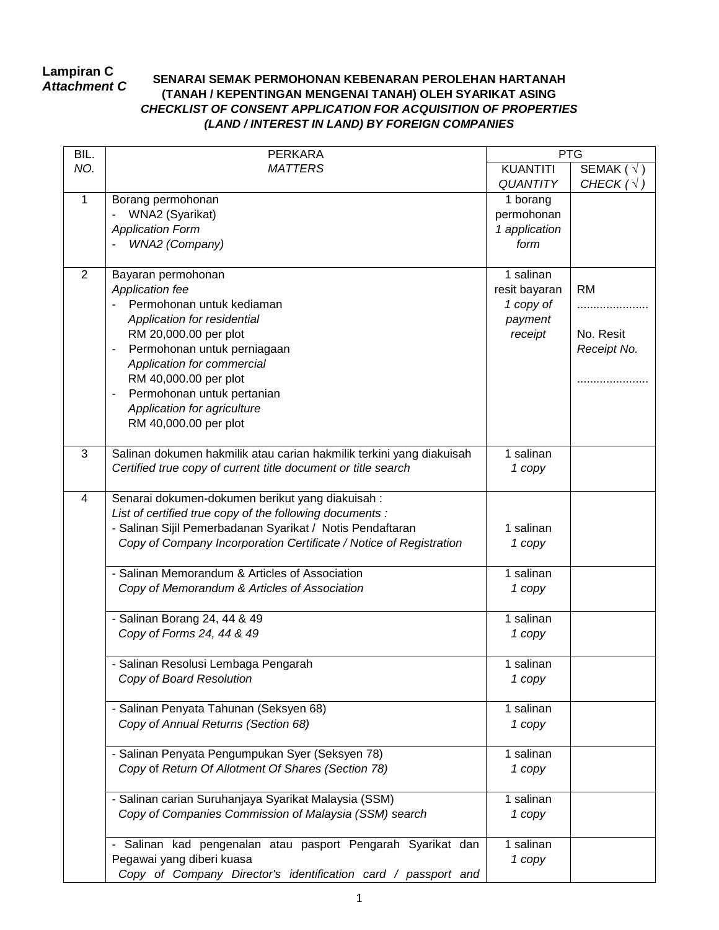## **Lampiran C** *Attachment C*

## **SENARAI SEMAK PERMOHONAN KEBENARAN PEROLEHAN HARTANAH (TANAH / KEPENTINGAN MENGENAI TANAH) OLEH SYARIKAT ASING** *CHECKLIST OF CONSENT APPLICATION FOR ACQUISITION OF PROPERTIES (LAND / INTEREST IN LAND) BY FOREIGN COMPANIES*

| BIL. | <b>PERKARA</b>                                                       | <b>PTG</b>      |                                           |
|------|----------------------------------------------------------------------|-----------------|-------------------------------------------|
| NO.  | <b>MATTERS</b>                                                       | <b>KUANTITI</b> | $\overline{\mathsf{SEMAK}}$ ( $\sqrt{}$ ) |
|      |                                                                      | <b>QUANTITY</b> | CHECK $(\sqrt{})$                         |
| 1    | Borang permohonan                                                    | 1 borang        |                                           |
|      | WNA2 (Syarikat)                                                      | permohonan      |                                           |
|      | <b>Application Form</b>                                              | 1 application   |                                           |
|      | WNA2 (Company)                                                       | form            |                                           |
|      |                                                                      |                 |                                           |
| 2    | Bayaran permohonan                                                   | 1 salinan       |                                           |
|      | <b>Application fee</b>                                               | resit bayaran   | <b>RM</b>                                 |
|      | Permohonan untuk kediaman                                            | 1 copy of       |                                           |
|      | Application for residential                                          | payment         |                                           |
|      | RM 20,000.00 per plot                                                | receipt         | No. Resit                                 |
|      | Permohonan untuk perniagaan                                          |                 | Receipt No.                               |
|      | Application for commercial                                           |                 |                                           |
|      | RM 40,000.00 per plot                                                |                 |                                           |
|      | Permohonan untuk pertanian<br>$\qquad \qquad \blacksquare$           |                 |                                           |
|      | Application for agriculture                                          |                 |                                           |
|      | RM 40,000.00 per plot                                                |                 |                                           |
|      |                                                                      |                 |                                           |
| 3    | Salinan dokumen hakmilik atau carian hakmilik terkini yang diakuisah | 1 salinan       |                                           |
|      |                                                                      |                 |                                           |
|      | Certified true copy of current title document or title search        | 1 copy          |                                           |
|      |                                                                      |                 |                                           |
| 4    | Senarai dokumen-dokumen berikut yang diakuisah:                      |                 |                                           |
|      | List of certified true copy of the following documents :             |                 |                                           |
|      | - Salinan Sijil Pemerbadanan Syarikat / Notis Pendaftaran            | 1 salinan       |                                           |
|      | Copy of Company Incorporation Certificate / Notice of Registration   | 1 copy          |                                           |
|      | - Salinan Memorandum & Articles of Association                       | 1 salinan       |                                           |
|      | Copy of Memorandum & Articles of Association                         | 1 copy          |                                           |
|      |                                                                      |                 |                                           |
|      | - Salinan Borang 24, 44 & 49                                         | 1 salinan       |                                           |
|      | Copy of Forms 24, 44 & 49                                            | 1 copy          |                                           |
|      |                                                                      |                 |                                           |
|      | - Salinan Resolusi Lembaga Pengarah                                  | 1 salinan       |                                           |
|      | Copy of Board Resolution                                             | 1 copy          |                                           |
|      |                                                                      |                 |                                           |
|      | - Salinan Penyata Tahunan (Seksyen 68)                               | 1 salinan       |                                           |
|      | Copy of Annual Returns (Section 68)                                  | 1 copy          |                                           |
|      |                                                                      |                 |                                           |
|      | - Salinan Penyata Pengumpukan Syer (Seksyen 78)                      | 1 salinan       |                                           |
|      | Copy of Return Of Allotment Of Shares (Section 78)                   | 1 copy          |                                           |
|      |                                                                      |                 |                                           |
|      | - Salinan carian Suruhanjaya Syarikat Malaysia (SSM)                 | 1 salinan       |                                           |
|      | Copy of Companies Commission of Malaysia (SSM) search                | 1 copy          |                                           |
|      |                                                                      |                 |                                           |
|      | - Salinan kad pengenalan atau pasport Pengarah Syarikat dan          | 1 salinan       |                                           |
|      | Pegawai yang diberi kuasa                                            |                 |                                           |
|      | Copy of Company Director's identification card / passport and        | 1 copy          |                                           |
|      |                                                                      |                 |                                           |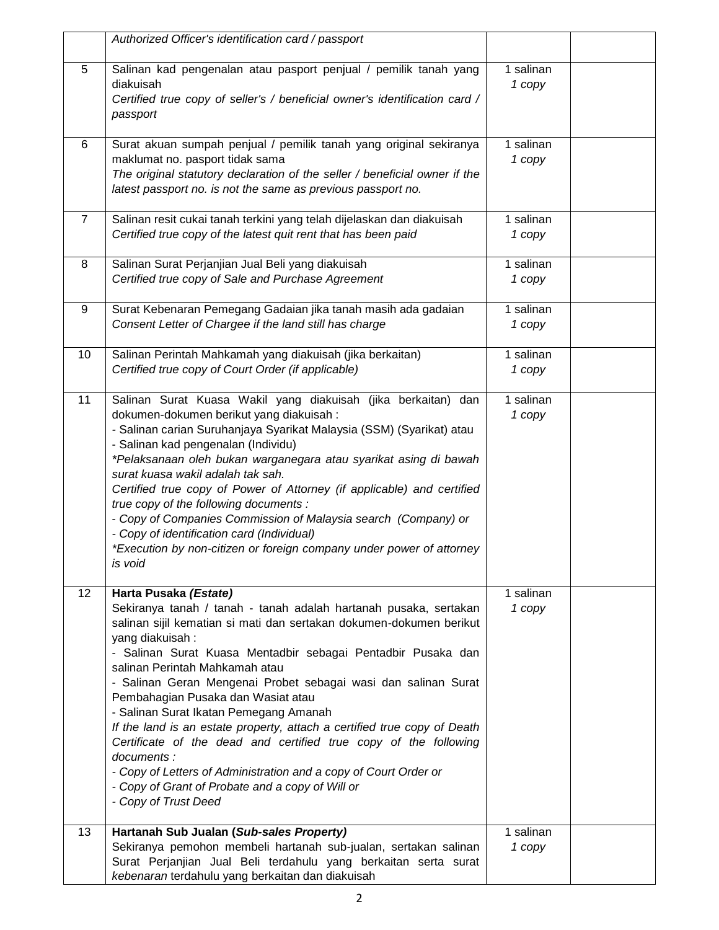|                | Authorized Officer's identification card / passport                                                                                                                                                                                                                                                                                                                                                                                                                                                                                                                                                                                                                                                                                                    |                     |
|----------------|--------------------------------------------------------------------------------------------------------------------------------------------------------------------------------------------------------------------------------------------------------------------------------------------------------------------------------------------------------------------------------------------------------------------------------------------------------------------------------------------------------------------------------------------------------------------------------------------------------------------------------------------------------------------------------------------------------------------------------------------------------|---------------------|
| 5              | Salinan kad pengenalan atau pasport penjual / pemilik tanah yang<br>diakuisah<br>Certified true copy of seller's / beneficial owner's identification card /<br>passport                                                                                                                                                                                                                                                                                                                                                                                                                                                                                                                                                                                | 1 salinan<br>1 copy |
| 6              | Surat akuan sumpah penjual / pemilik tanah yang original sekiranya<br>maklumat no. pasport tidak sama<br>The original statutory declaration of the seller / beneficial owner if the<br>latest passport no. is not the same as previous passport no.                                                                                                                                                                                                                                                                                                                                                                                                                                                                                                    | 1 salinan<br>1 copy |
| $\overline{7}$ | Salinan resit cukai tanah terkini yang telah dijelaskan dan diakuisah<br>Certified true copy of the latest quit rent that has been paid                                                                                                                                                                                                                                                                                                                                                                                                                                                                                                                                                                                                                | 1 salinan<br>1 copy |
| 8              | Salinan Surat Perjanjian Jual Beli yang diakuisah<br>Certified true copy of Sale and Purchase Agreement                                                                                                                                                                                                                                                                                                                                                                                                                                                                                                                                                                                                                                                | 1 salinan<br>1 copy |
| 9              | Surat Kebenaran Pemegang Gadaian jika tanah masih ada gadaian<br>Consent Letter of Chargee if the land still has charge                                                                                                                                                                                                                                                                                                                                                                                                                                                                                                                                                                                                                                | 1 salinan<br>1 copy |
| 10             | Salinan Perintah Mahkamah yang diakuisah (jika berkaitan)<br>Certified true copy of Court Order (if applicable)                                                                                                                                                                                                                                                                                                                                                                                                                                                                                                                                                                                                                                        | 1 salinan<br>1 copy |
| 11             | Salinan Surat Kuasa Wakil yang diakuisah (jika berkaitan) dan<br>dokumen-dokumen berikut yang diakuisah:<br>- Salinan carian Suruhanjaya Syarikat Malaysia (SSM) (Syarikat) atau<br>- Salinan kad pengenalan (Individu)<br>*Pelaksanaan oleh bukan warganegara atau syarikat asing di bawah<br>surat kuasa wakil adalah tak sah.<br>Certified true copy of Power of Attorney (if applicable) and certified<br>true copy of the following documents :<br>- Copy of Companies Commission of Malaysia search (Company) or<br>- Copy of identification card (Individual)<br>*Execution by non-citizen or foreign company under power of attorney<br>is void                                                                                                | 1 salinan<br>1 copy |
| 12             | Harta Pusaka (Estate)<br>Sekiranya tanah / tanah - tanah adalah hartanah pusaka, sertakan<br>salinan sijil kematian si mati dan sertakan dokumen-dokumen berikut<br>yang diakuisah:<br>- Salinan Surat Kuasa Mentadbir sebagai Pentadbir Pusaka dan<br>salinan Perintah Mahkamah atau<br>- Salinan Geran Mengenai Probet sebagai wasi dan salinan Surat<br>Pembahagian Pusaka dan Wasiat atau<br>- Salinan Surat Ikatan Pemegang Amanah<br>If the land is an estate property, attach a certified true copy of Death<br>Certificate of the dead and certified true copy of the following<br>documents :<br>- Copy of Letters of Administration and a copy of Court Order or<br>- Copy of Grant of Probate and a copy of Will or<br>- Copy of Trust Deed | 1 salinan<br>1 copy |
| 13             | Hartanah Sub Jualan (Sub-sales Property)<br>Sekiranya pemohon membeli hartanah sub-jualan, sertakan salinan<br>Surat Perjanjian Jual Beli terdahulu yang berkaitan serta surat<br>kebenaran terdahulu yang berkaitan dan diakuisah                                                                                                                                                                                                                                                                                                                                                                                                                                                                                                                     | 1 salinan<br>1 copy |